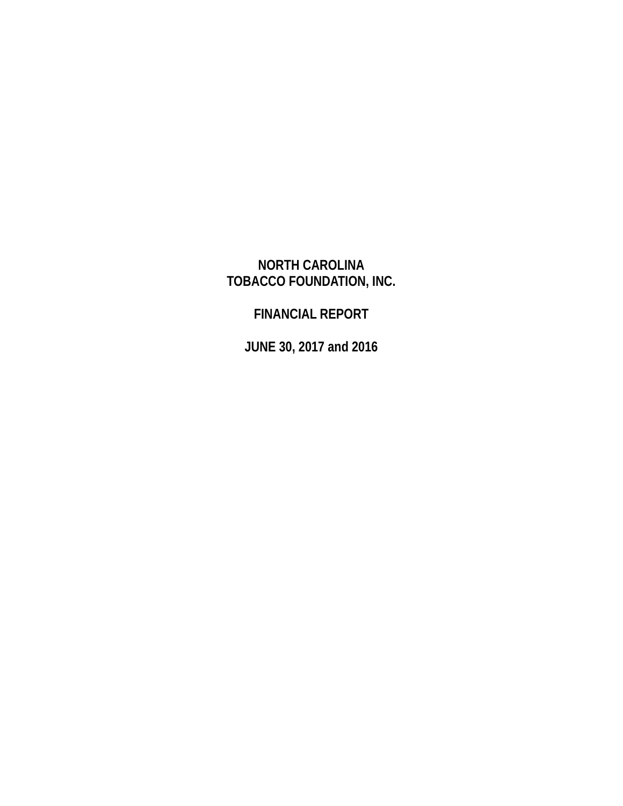# **NORTH CAROLINA TOBACCO FOUNDATION, INC.**

# **FINANCIAL REPORT**

**JUNE 30, 2017 and 2016**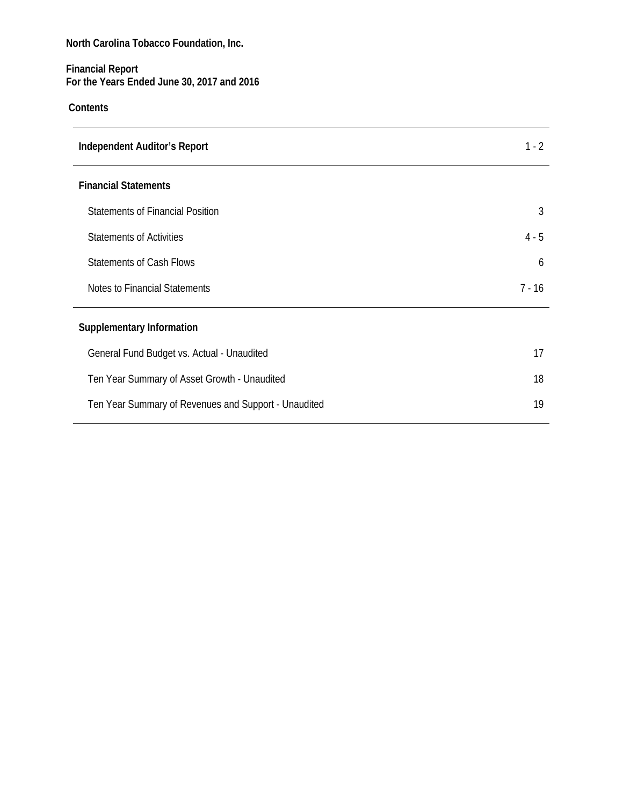### **Financial Report For the Years Ended June 30, 2017 and 2016**

## **Contents**

| <b>Independent Auditor's Report</b>                  | 1 - 2   |
|------------------------------------------------------|---------|
| <b>Financial Statements</b>                          |         |
| <b>Statements of Financial Position</b>              | 3       |
| <b>Statements of Activities</b>                      | $4 - 5$ |
| <b>Statements of Cash Flows</b>                      | 6       |
| Notes to Financial Statements                        | 7 - 16  |
| <b>Supplementary Information</b>                     |         |
| General Fund Budget vs. Actual - Unaudited           | 17      |
| Ten Year Summary of Asset Growth - Unaudited         | 18      |
| Ten Year Summary of Revenues and Support - Unaudited | 19      |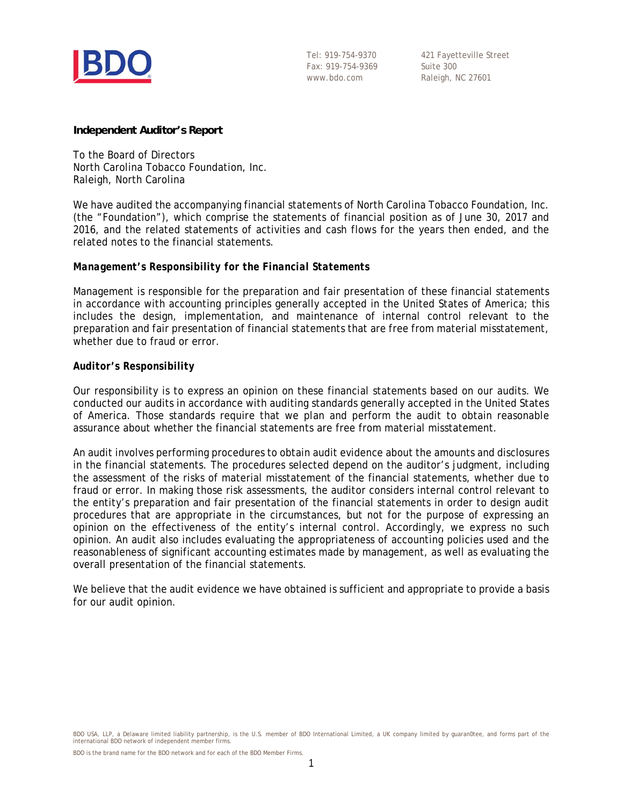

Tel: 919-754-9370 Fax: 919-754-9369 www.bdo.com

421 Fayetteville Street Suite 300 Raleigh, NC 27601

#### **Independent Auditor's Report**

To the Board of Directors North Carolina Tobacco Foundation, Inc. Raleigh, North Carolina

We have audited the accompanying financial statements of North Carolina Tobacco Foundation, Inc. (the "Foundation"), which comprise the statements of financial position as of June 30, 2017 and 2016, and the related statements of activities and cash flows for the years then ended, and the related notes to the financial statements.

#### *Management's Responsibility for the Financial Statements*

Management is responsible for the preparation and fair presentation of these financial statements in accordance with accounting principles generally accepted in the United States of America; this includes the design, implementation, and maintenance of internal control relevant to the preparation and fair presentation of financial statements that are free from material misstatement, whether due to fraud or error.

#### *Auditor's Responsibility*

Our responsibility is to express an opinion on these financial statements based on our audits. We conducted our audits in accordance with auditing standards generally accepted in the United States of America. Those standards require that we plan and perform the audit to obtain reasonable assurance about whether the financial statements are free from material misstatement.

An audit involves performing procedures to obtain audit evidence about the amounts and disclosures in the financial statements. The procedures selected depend on the auditor's judgment, including the assessment of the risks of material misstatement of the financial statements, whether due to fraud or error. In making those risk assessments, the auditor considers internal control relevant to the entity's preparation and fair presentation of the financial statements in order to design audit procedures that are appropriate in the circumstances, but not for the purpose of expressing an opinion on the effectiveness of the entity's internal control. Accordingly, we express no such opinion. An audit also includes evaluating the appropriateness of accounting policies used and the reasonableness of significant accounting estimates made by management, as well as evaluating the overall presentation of the financial statements.

We believe that the audit evidence we have obtained is sufficient and appropriate to provide a basis for our audit opinion.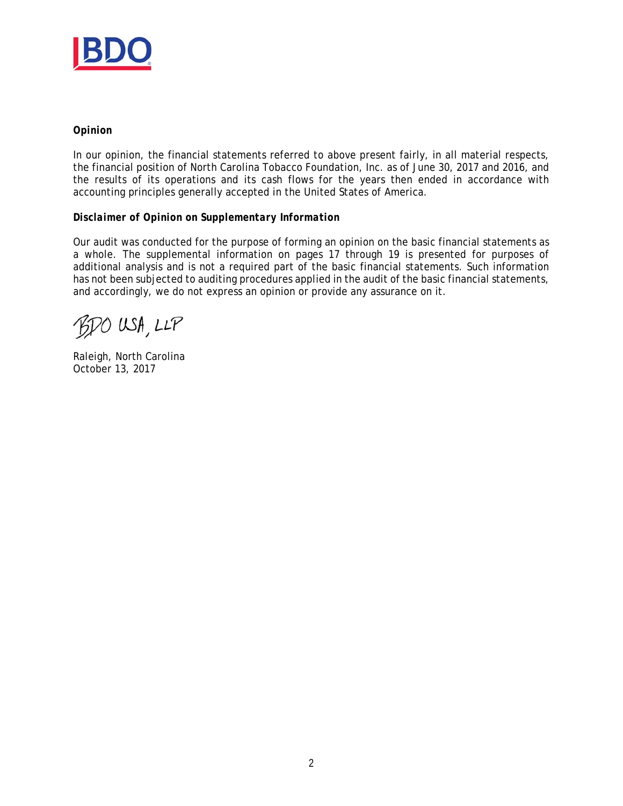

#### *Opinion*

In our opinion, the financial statements referred to above present fairly, in all material respects, the financial position of North Carolina Tobacco Foundation, Inc. as of June 30, 2017 and 2016, and the results of its operations and its cash flows for the years then ended in accordance with accounting principles generally accepted in the United States of America.

#### *Disclaimer of Opinion on Supplementary Information*

Our audit was conducted for the purpose of forming an opinion on the basic financial statements as a whole. The supplemental information on pages 17 through 19 is presented for purposes of additional analysis and is not a required part of the basic financial statements. Such information has not been subjected to auditing procedures applied in the audit of the basic financial statements, and accordingly, we do not express an opinion or provide any assurance on it.

BDO USA, LLP

Raleigh, North Carolina October 13, 2017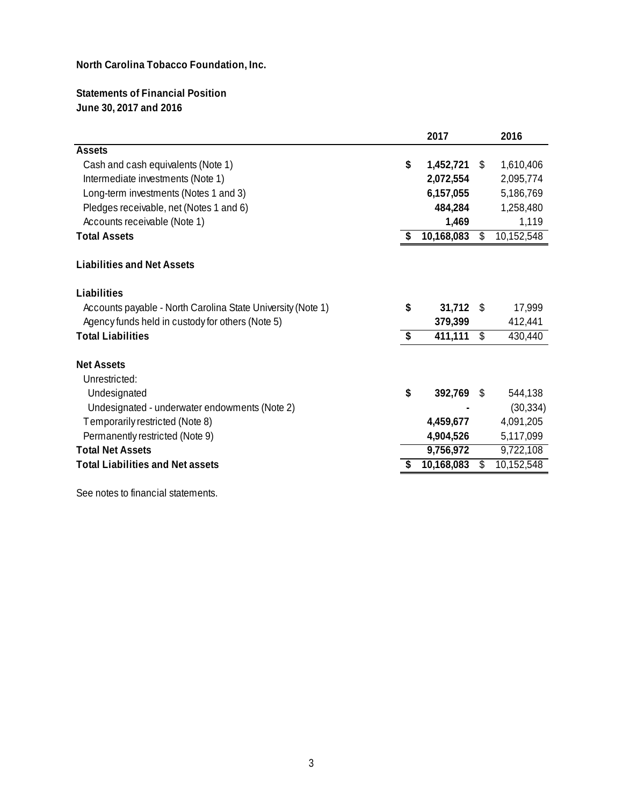## **Statements of Financial Position June 30, 2017 and 2016**

|                                                             |                                      | 2017       |      | 2016       |
|-------------------------------------------------------------|--------------------------------------|------------|------|------------|
| <b>Assets</b>                                               |                                      |            |      |            |
| Cash and cash equivalents (Note 1)                          | \$                                   | 1,452,721  | S.   | 1,610,406  |
| Intermediate investments (Note 1)                           |                                      | 2,072,554  |      | 2,095,774  |
| Long-term investments (Notes 1 and 3)                       |                                      | 6,157,055  |      | 5,186,769  |
| Pledges receivable, net (Notes 1 and 6)                     |                                      | 484,284    |      | 1,258,480  |
| Accounts receivable (Note 1)                                |                                      | 1,469      |      | 1,119      |
| <b>Total Assets</b>                                         | S                                    | 10,168,083 | \$   | 10,152,548 |
| <b>Liabilities and Net Assets</b>                           |                                      |            |      |            |
| Liabilities                                                 |                                      |            |      |            |
| Accounts payable - North Carolina State University (Note 1) | \$                                   | 31,712     | - \$ | 17,999     |
| Agency funds held in custody for others (Note 5)            |                                      | 379,399    |      | 412,441    |
| <b>Total Liabilities</b>                                    | $\overline{\boldsymbol{\mathsf{s}}}$ | 411,111    | \$   | 430,440    |
| <b>Net Assets</b>                                           |                                      |            |      |            |
| Unrestricted:                                               |                                      |            |      |            |
| Undesignated                                                | \$                                   | 392,769 \$ |      | 544,138    |
| Undesignated - underwater endowments (Note 2)               |                                      |            |      | (30, 334)  |
| Temporarily restricted (Note 8)                             |                                      | 4,459,677  |      | 4,091,205  |
| Permanently restricted (Note 9)                             |                                      | 4,904,526  |      | 5,117,099  |
| <b>Total Net Assets</b>                                     |                                      | 9,756,972  |      | 9,722,108  |
| <b>Total Liabilities and Net assets</b>                     |                                      | 10,168,083 | \$   | 10,152,548 |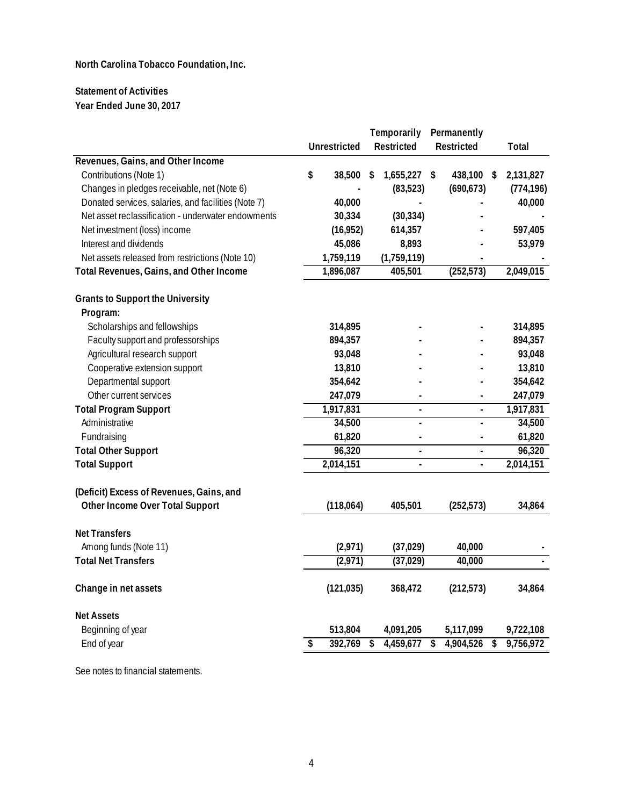## **Statement of Activities Year Ended June 30, 2017**

| <b>Unrestricted</b><br>Restricted<br><b>Restricted</b><br>Total<br>Revenues, Gains, and Other Income<br>\$<br>Contributions (Note 1)<br>2,131,827<br>38,500<br>\$<br>1,655,227 \$<br>438,100 \$<br>Changes in pledges receivable, net (Note 6)<br>(690, 673)<br>(83,523)<br>Donated services, salaries, and facilities (Note 7)<br>40,000 |            |
|-------------------------------------------------------------------------------------------------------------------------------------------------------------------------------------------------------------------------------------------------------------------------------------------------------------------------------------------|------------|
|                                                                                                                                                                                                                                                                                                                                           |            |
|                                                                                                                                                                                                                                                                                                                                           |            |
|                                                                                                                                                                                                                                                                                                                                           |            |
|                                                                                                                                                                                                                                                                                                                                           | (774, 196) |
|                                                                                                                                                                                                                                                                                                                                           | 40,000     |
| Net asset reclassification - underwater endowments<br>30,334<br>(30, 334)                                                                                                                                                                                                                                                                 |            |
| Net investment (loss) income<br>614,357<br>(16,952)                                                                                                                                                                                                                                                                                       | 597,405    |
| Interest and dividends<br>45,086<br>8,893                                                                                                                                                                                                                                                                                                 | 53,979     |
| Net assets released from restrictions (Note 10)<br>1,759,119<br>(1,759,119)                                                                                                                                                                                                                                                               |            |
| 1,896,087<br>405,501<br>(252, 573)<br>2,049,015<br>Total Revenues, Gains, and Other Income                                                                                                                                                                                                                                                |            |
| <b>Grants to Support the University</b>                                                                                                                                                                                                                                                                                                   |            |
| Program:<br>Scholarships and fellowships<br>314,895                                                                                                                                                                                                                                                                                       | 314,895    |
| Faculty support and professorships<br>894,357                                                                                                                                                                                                                                                                                             | 894,357    |
| Agricultural research support<br>93,048                                                                                                                                                                                                                                                                                                   | 93,048     |
| Cooperative extension support<br>13,810                                                                                                                                                                                                                                                                                                   | 13,810     |
| 354,642<br>Departmental support                                                                                                                                                                                                                                                                                                           | 354,642    |
| 247,079<br>Other current services                                                                                                                                                                                                                                                                                                         | 247,079    |
| 1,917,831<br>1,917,831<br><b>Total Program Support</b><br>$\overline{a}$<br>$\blacksquare$                                                                                                                                                                                                                                                |            |
| 34,500<br>Administrative<br>$\overline{a}$                                                                                                                                                                                                                                                                                                | 34,500     |
| Fundraising<br>61,820<br>$\overline{a}$                                                                                                                                                                                                                                                                                                   | 61,820     |
| 96,320<br><b>Total Other Support</b><br>$\blacksquare$<br>ä,                                                                                                                                                                                                                                                                              | 96,320     |
| 2,014,151<br>2,014,151<br><b>Total Support</b><br>$\blacksquare$<br>$\blacksquare$                                                                                                                                                                                                                                                        |            |
|                                                                                                                                                                                                                                                                                                                                           |            |
| (Deficit) Excess of Revenues, Gains, and                                                                                                                                                                                                                                                                                                  |            |
| Other Income Over Total Support<br>(118,064)<br>405,501<br>(252, 573)                                                                                                                                                                                                                                                                     | 34,864     |
| <b>Net Transfers</b>                                                                                                                                                                                                                                                                                                                      |            |
| Among funds (Note 11)<br>40,000<br>(2,971)<br>(37, 029)                                                                                                                                                                                                                                                                                   |            |
| (2,971)<br><b>Total Net Transfers</b><br>(37, 029)<br>40,000                                                                                                                                                                                                                                                                              |            |
|                                                                                                                                                                                                                                                                                                                                           |            |
| (121, 035)<br>368,472<br>(212, 573)<br>Change in net assets                                                                                                                                                                                                                                                                               | 34,864     |
| <b>Net Assets</b>                                                                                                                                                                                                                                                                                                                         |            |
| Beginning of year<br>513,804<br>4,091,205<br>5,117,099<br>9,722,108                                                                                                                                                                                                                                                                       |            |
| 392,769<br>4,904,526<br>9,756,972<br>End of year<br>\$<br>4,459,677<br>\$<br>\$<br>\$                                                                                                                                                                                                                                                     |            |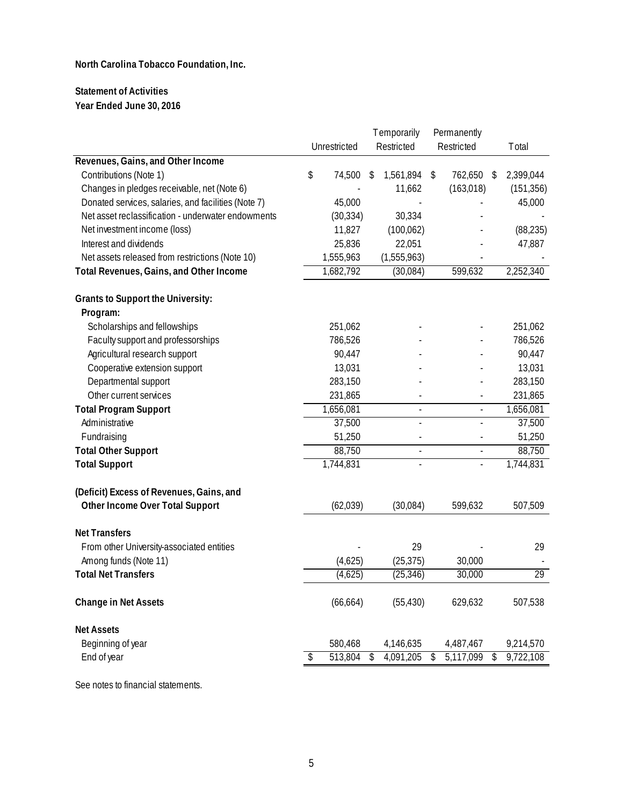## **Statement of Activities Year Ended June 30, 2016**

|                                                     |               | <b>Temporarily</b>       | Permanently              |                 |
|-----------------------------------------------------|---------------|--------------------------|--------------------------|-----------------|
|                                                     | Unrestricted  | Restricted               | Restricted               | Total           |
| Revenues, Gains, and Other Income                   |               |                          |                          |                 |
| Contributions (Note 1)                              | \$<br>74,500  | \$<br>1,561,894          | \$<br>762,650            | \$<br>2,399,044 |
| Changes in pledges receivable, net (Note 6)         |               | 11,662                   | (163, 018)               | (151, 356)      |
| Donated services, salaries, and facilities (Note 7) | 45,000        |                          |                          | 45,000          |
| Net asset reclassification - underwater endowments  | (30, 334)     | 30,334                   |                          |                 |
| Net investment income (loss)                        | 11,827        | (100, 062)               |                          | (88, 235)       |
| Interest and dividends                              | 25,836        | 22,051                   |                          | 47,887          |
| Net assets released from restrictions (Note 10)     | 1,555,963     | (1,555,963)              |                          |                 |
| Total Revenues, Gains, and Other Income             | 1,682,792     | (30,084)                 | 599,632                  | 2,252,340       |
| <b>Grants to Support the University:</b>            |               |                          |                          |                 |
| Program:                                            |               |                          |                          |                 |
| Scholarships and fellowships                        | 251,062       |                          |                          | 251,062         |
| Faculty support and professorships                  | 786,526       |                          |                          | 786,526         |
| Agricultural research support                       | 90,447        |                          |                          | 90,447          |
| Cooperative extension support                       | 13,031        |                          |                          | 13,031          |
| Departmental support                                | 283,150       |                          |                          | 283,150         |
| Other current services                              | 231,865       |                          |                          | 231,865         |
| <b>Total Program Support</b>                        | 1,656,081     | $\frac{1}{2}$            | $\overline{\phantom{a}}$ | 1,656,081       |
| Administrative                                      | 37,500        | $\frac{1}{2}$            | $\overline{a}$           | 37,500          |
| Fundraising                                         | 51,250        |                          |                          | 51,250          |
| <b>Total Other Support</b>                          | 88,750        | $\Box$                   | $\overline{\phantom{a}}$ | 88,750          |
| <b>Total Support</b>                                | 1,744,831     | $\overline{\phantom{a}}$ | $\frac{1}{2}$            | 1,744,831       |
| (Deficit) Excess of Revenues, Gains, and            |               |                          |                          |                 |
| Other Income Over Total Support                     | (62, 039)     | (30,084)                 | 599,632                  | 507,509         |
| <b>Net Transfers</b>                                |               |                          |                          |                 |
| From other University-associated entities           |               | 29                       |                          | 29              |
| Among funds (Note 11)                               | (4,625)       | (25, 375)                | 30,000                   |                 |
| <b>Total Net Transfers</b>                          | (4,625)       | (25, 346)                | 30,000                   | 29              |
| Change in Net Assets                                | (66, 664)     | (55, 430)                | 629,632                  | 507,538         |
| <b>Net Assets</b>                                   |               |                          |                          |                 |
| Beginning of year                                   | 580,468       | 4,146,635                | 4,487,467                | 9,214,570       |
| End of year                                         | \$<br>513,804 | 4,091,205                | 5,117,099                | \$<br>9,722,108 |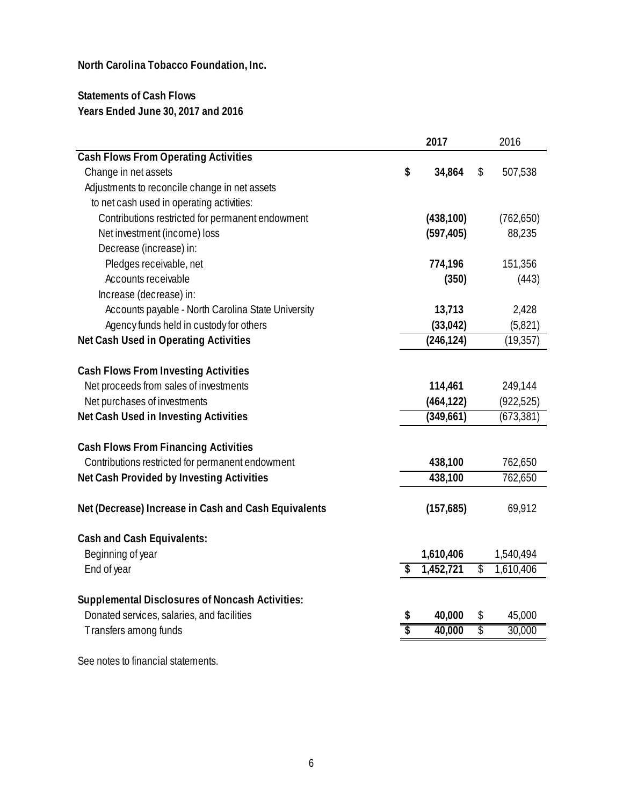## **Statements of Cash Flows Years Ended June 30, 2017 and 2016**

|                                                        | 2017            | 2016            |
|--------------------------------------------------------|-----------------|-----------------|
| <b>Cash Flows From Operating Activities</b>            |                 |                 |
| Change in net assets                                   | \$<br>34,864    | \$<br>507,538   |
| Adjustments to reconcile change in net assets          |                 |                 |
| to net cash used in operating activities:              |                 |                 |
| Contributions restricted for permanent endowment       | (438, 100)      | (762, 650)      |
| Net investment (income) loss                           | (597, 405)      | 88,235          |
| Decrease (increase) in:                                |                 |                 |
| Pledges receivable, net                                | 774,196         | 151,356         |
| Accounts receivable                                    | (350)           | (443)           |
| Increase (decrease) in:                                |                 |                 |
| Accounts payable - North Carolina State University     | 13,713          | 2,428           |
| Agency funds held in custody for others                | (33, 042)       | (5,821)         |
| Net Cash Used in Operating Activities                  | (246, 124)      | (19, 357)       |
|                                                        |                 |                 |
| <b>Cash Flows From Investing Activities</b>            |                 |                 |
| Net proceeds from sales of investments                 | 114,461         | 249,144         |
| Net purchases of investments                           | (464, 122)      | (922, 525)      |
| Net Cash Used in Investing Activities                  | (349,661)       | (673, 381)      |
| <b>Cash Flows From Financing Activities</b>            |                 |                 |
| Contributions restricted for permanent endowment       | 438,100         | 762,650         |
| Net Cash Provided by Investing Activities              | 438,100         | 762,650         |
|                                                        |                 |                 |
| Net (Decrease) Increase in Cash and Cash Equivalents   | (157, 685)      | 69,912          |
| <b>Cash and Cash Equivalents:</b>                      |                 |                 |
| Beginning of year                                      | 1,610,406       | 1,540,494       |
| End of year                                            | \$<br>1,452,721 | \$<br>1,610,406 |
|                                                        |                 |                 |
| <b>Supplemental Disclosures of Noncash Activities:</b> |                 |                 |
| Donated services, salaries, and facilities             | \$<br>40,000    | \$<br>45,000    |
| Transfers among funds                                  | \$<br>40,000    | \$<br>30,000    |
|                                                        |                 |                 |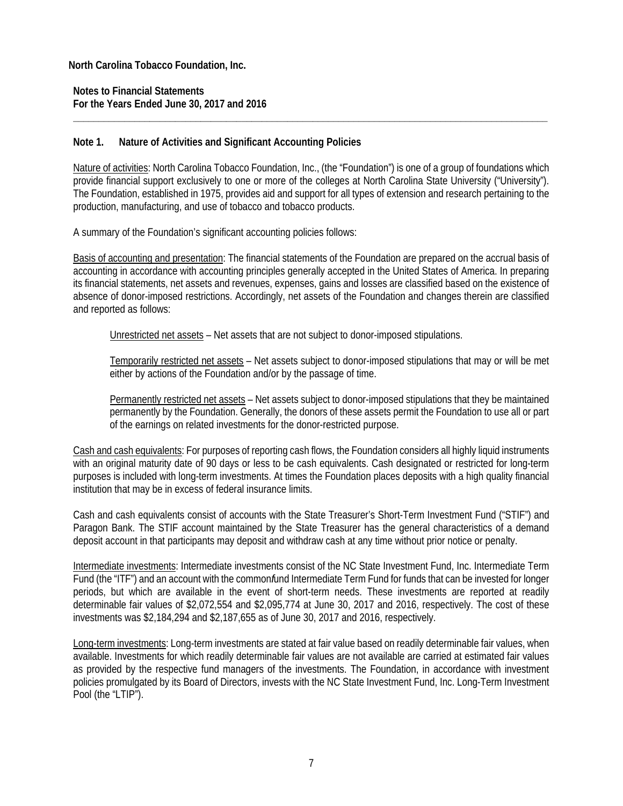**Notes to Financial Statements For the Years Ended June 30, 2017 and 2016** 

#### **Note 1. Nature of Activities and Significant Accounting Policies**

Nature of activities: North Carolina Tobacco Foundation, Inc., (the "Foundation") is one of a group of foundations which provide financial support exclusively to one or more of the colleges at North Carolina State University ("University"). The Foundation, established in 1975, provides aid and support for all types of extension and research pertaining to the production, manufacturing, and use of tobacco and tobacco products.

**\_\_\_\_\_\_\_\_\_\_\_\_\_\_\_\_\_\_\_\_\_\_\_\_\_\_\_\_\_\_\_\_\_\_\_\_\_\_\_\_\_\_\_\_\_\_\_\_\_\_\_\_\_\_\_\_\_\_\_\_\_\_\_\_\_\_\_\_\_\_\_\_\_\_\_\_\_\_\_\_\_\_\_\_\_\_\_\_\_\_\_\_\_** 

A summary of the Foundation's significant accounting policies follows:

Basis of accounting and presentation: The financial statements of the Foundation are prepared on the accrual basis of accounting in accordance with accounting principles generally accepted in the United States of America. In preparing its financial statements, net assets and revenues, expenses, gains and losses are classified based on the existence of absence of donor-imposed restrictions. Accordingly, net assets of the Foundation and changes therein are classified and reported as follows:

Unrestricted net assets – Net assets that are not subject to donor-imposed stipulations.

Temporarily restricted net assets – Net assets subject to donor-imposed stipulations that may or will be met either by actions of the Foundation and/or by the passage of time.

Permanently restricted net assets – Net assets subject to donor-imposed stipulations that they be maintained permanently by the Foundation. Generally, the donors of these assets permit the Foundation to use all or part of the earnings on related investments for the donor-restricted purpose.

Cash and cash equivalents: For purposes of reporting cash flows, the Foundation considers all highly liquid instruments with an original maturity date of 90 days or less to be cash equivalents. Cash designated or restricted for long-term purposes is included with long-term investments. At times the Foundation places deposits with a high quality financial institution that may be in excess of federal insurance limits.

Cash and cash equivalents consist of accounts with the State Treasurer's Short-Term Investment Fund ("STIF") and Paragon Bank. The STIF account maintained by the State Treasurer has the general characteristics of a demand deposit account in that participants may deposit and withdraw cash at any time without prior notice or penalty.

Intermediate investments: Intermediate investments consist of the NC State Investment Fund, Inc. Intermediate Term Fund (the "ITF") and an account with the common*f*und Intermediate Term Fund for funds that can be invested for longer periods, but which are available in the event of short-term needs. These investments are reported at readily determinable fair values of \$2,072,554 and \$2,095,774 at June 30, 2017 and 2016, respectively. The cost of these investments was \$2,184,294 and \$2,187,655 as of June 30, 2017 and 2016, respectively.

Long-term investments: Long-term investments are stated at fair value based on readily determinable fair values, when available. Investments for which readily determinable fair values are not available are carried at estimated fair values as provided by the respective fund managers of the investments. The Foundation, in accordance with investment policies promulgated by its Board of Directors, invests with the NC State Investment Fund, Inc. Long-Term Investment Pool (the "LTIP").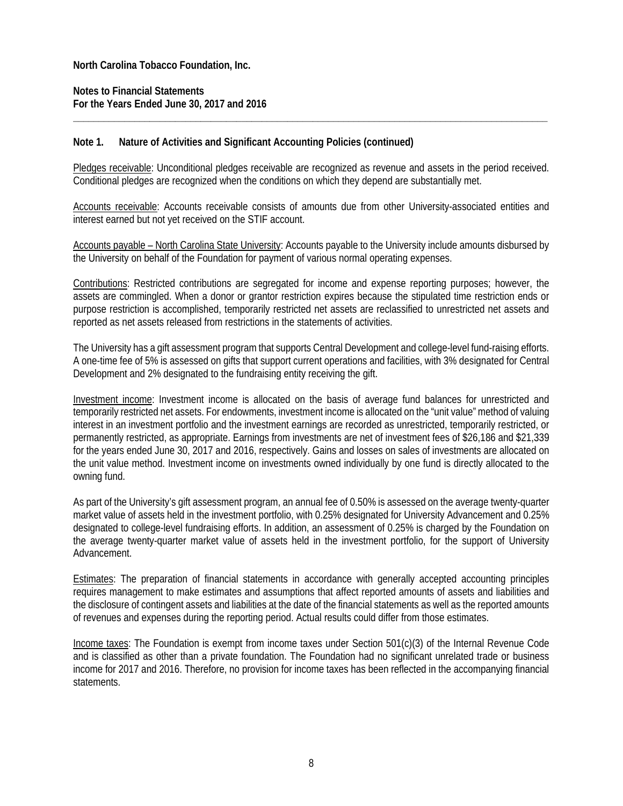**Notes to Financial Statements For the Years Ended June 30, 2017 and 2016** 

#### **Note 1. Nature of Activities and Significant Accounting Policies (continued)**

Pledges receivable: Unconditional pledges receivable are recognized as revenue and assets in the period received. Conditional pledges are recognized when the conditions on which they depend are substantially met.

**\_\_\_\_\_\_\_\_\_\_\_\_\_\_\_\_\_\_\_\_\_\_\_\_\_\_\_\_\_\_\_\_\_\_\_\_\_\_\_\_\_\_\_\_\_\_\_\_\_\_\_\_\_\_\_\_\_\_\_\_\_\_\_\_\_\_\_\_\_\_\_\_\_\_\_\_\_\_\_\_\_\_\_\_\_\_\_\_\_\_\_\_\_** 

Accounts receivable: Accounts receivable consists of amounts due from other University-associated entities and interest earned but not yet received on the STIF account.

Accounts payable – North Carolina State University: Accounts payable to the University include amounts disbursed by the University on behalf of the Foundation for payment of various normal operating expenses.

Contributions: Restricted contributions are segregated for income and expense reporting purposes; however, the assets are commingled. When a donor or grantor restriction expires because the stipulated time restriction ends or purpose restriction is accomplished, temporarily restricted net assets are reclassified to unrestricted net assets and reported as net assets released from restrictions in the statements of activities.

The University has a gift assessment program that supports Central Development and college-level fund-raising efforts. A one-time fee of 5% is assessed on gifts that support current operations and facilities, with 3% designated for Central Development and 2% designated to the fundraising entity receiving the gift.

Investment income: Investment income is allocated on the basis of average fund balances for unrestricted and temporarily restricted net assets. For endowments, investment income is allocated on the "unit value" method of valuing interest in an investment portfolio and the investment earnings are recorded as unrestricted, temporarily restricted, or permanently restricted, as appropriate. Earnings from investments are net of investment fees of \$26,186 and \$21,339 for the years ended June 30, 2017 and 2016, respectively. Gains and losses on sales of investments are allocated on the unit value method. Investment income on investments owned individually by one fund is directly allocated to the owning fund.

As part of the University's gift assessment program, an annual fee of 0.50% is assessed on the average twenty-quarter market value of assets held in the investment portfolio, with 0.25% designated for University Advancement and 0.25% designated to college-level fundraising efforts. In addition, an assessment of 0.25% is charged by the Foundation on the average twenty-quarter market value of assets held in the investment portfolio, for the support of University Advancement.

Estimates: The preparation of financial statements in accordance with generally accepted accounting principles requires management to make estimates and assumptions that affect reported amounts of assets and liabilities and the disclosure of contingent assets and liabilities at the date of the financial statements as well as the reported amounts of revenues and expenses during the reporting period. Actual results could differ from those estimates.

Income taxes: The Foundation is exempt from income taxes under Section 501(c)(3) of the Internal Revenue Code and is classified as other than a private foundation. The Foundation had no significant unrelated trade or business income for 2017 and 2016. Therefore, no provision for income taxes has been reflected in the accompanying financial statements.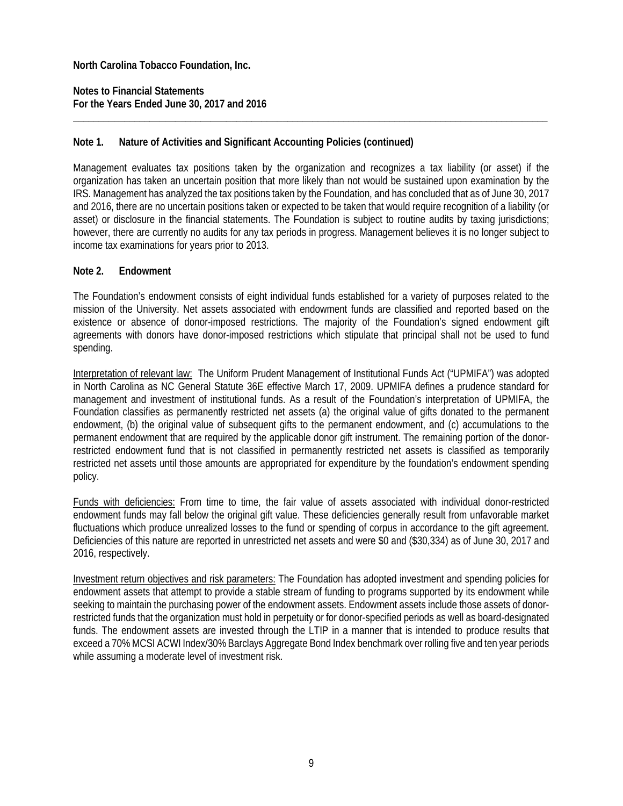**Notes to Financial Statements For the Years Ended June 30, 2017 and 2016** 

#### **Note 1. Nature of Activities and Significant Accounting Policies (continued)**

Management evaluates tax positions taken by the organization and recognizes a tax liability (or asset) if the organization has taken an uncertain position that more likely than not would be sustained upon examination by the IRS. Management has analyzed the tax positions taken by the Foundation, and has concluded that as of June 30, 2017 and 2016, there are no uncertain positions taken or expected to be taken that would require recognition of a liability (or asset) or disclosure in the financial statements. The Foundation is subject to routine audits by taxing jurisdictions; however, there are currently no audits for any tax periods in progress. Management believes it is no longer subject to income tax examinations for years prior to 2013.

**\_\_\_\_\_\_\_\_\_\_\_\_\_\_\_\_\_\_\_\_\_\_\_\_\_\_\_\_\_\_\_\_\_\_\_\_\_\_\_\_\_\_\_\_\_\_\_\_\_\_\_\_\_\_\_\_\_\_\_\_\_\_\_\_\_\_\_\_\_\_\_\_\_\_\_\_\_\_\_\_\_\_\_\_\_\_\_\_\_\_\_\_\_** 

#### **Note 2. Endowment**

The Foundation's endowment consists of eight individual funds established for a variety of purposes related to the mission of the University. Net assets associated with endowment funds are classified and reported based on the existence or absence of donor-imposed restrictions. The majority of the Foundation's signed endowment gift agreements with donors have donor-imposed restrictions which stipulate that principal shall not be used to fund spending.

Interpretation of relevant law: The Uniform Prudent Management of Institutional Funds Act ("UPMIFA") was adopted in North Carolina as NC General Statute 36E effective March 17, 2009. UPMIFA defines a prudence standard for management and investment of institutional funds. As a result of the Foundation's interpretation of UPMIFA, the Foundation classifies as permanently restricted net assets (a) the original value of gifts donated to the permanent endowment, (b) the original value of subsequent gifts to the permanent endowment, and (c) accumulations to the permanent endowment that are required by the applicable donor gift instrument. The remaining portion of the donorrestricted endowment fund that is not classified in permanently restricted net assets is classified as temporarily restricted net assets until those amounts are appropriated for expenditure by the foundation's endowment spending policy.

Funds with deficiencies: From time to time, the fair value of assets associated with individual donor-restricted endowment funds may fall below the original gift value. These deficiencies generally result from unfavorable market fluctuations which produce unrealized losses to the fund or spending of corpus in accordance to the gift agreement. Deficiencies of this nature are reported in unrestricted net assets and were \$0 and (\$30,334) as of June 30, 2017 and 2016, respectively.

Investment return objectives and risk parameters: The Foundation has adopted investment and spending policies for endowment assets that attempt to provide a stable stream of funding to programs supported by its endowment while seeking to maintain the purchasing power of the endowment assets. Endowment assets include those assets of donorrestricted funds that the organization must hold in perpetuity or for donor-specified periods as well as board-designated funds. The endowment assets are invested through the LTIP in a manner that is intended to produce results that exceed a 70% MCSI ACWI Index/30% Barclays Aggregate Bond Index benchmark over rolling five and ten year periods while assuming a moderate level of investment risk.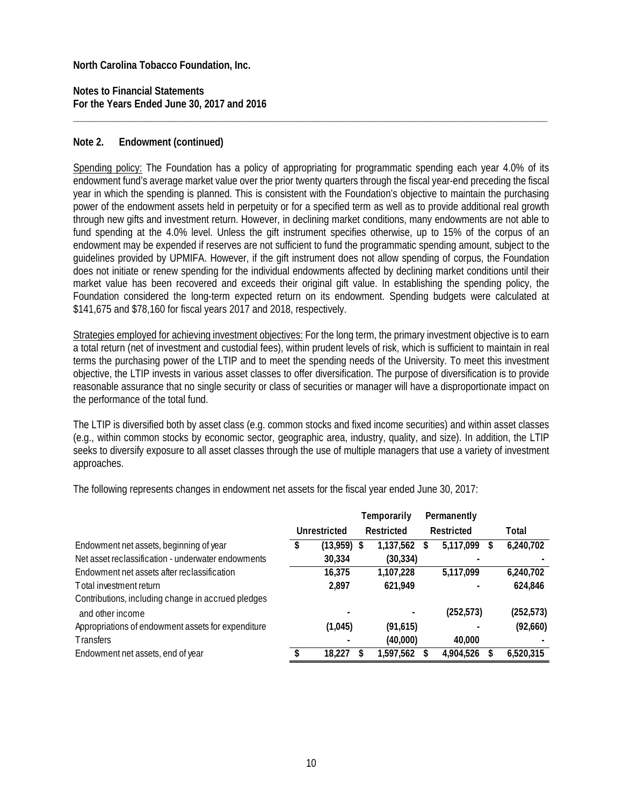**Notes to Financial Statements For the Years Ended June 30, 2017 and 2016** 

#### **Note 2. Endowment (continued)**

Spending policy: The Foundation has a policy of appropriating for programmatic spending each year 4.0% of its endowment fund's average market value over the prior twenty quarters through the fiscal year-end preceding the fiscal year in which the spending is planned. This is consistent with the Foundation's objective to maintain the purchasing power of the endowment assets held in perpetuity or for a specified term as well as to provide additional real growth through new gifts and investment return. However, in declining market conditions, many endowments are not able to fund spending at the 4.0% level. Unless the gift instrument specifies otherwise, up to 15% of the corpus of an endowment may be expended if reserves are not sufficient to fund the programmatic spending amount, subject to the guidelines provided by UPMIFA. However, if the gift instrument does not allow spending of corpus, the Foundation does not initiate or renew spending for the individual endowments affected by declining market conditions until their market value has been recovered and exceeds their original gift value. In establishing the spending policy, the Foundation considered the long-term expected return on its endowment. Spending budgets were calculated at \$141,675 and \$78,160 for fiscal years 2017 and 2018, respectively.

**\_\_\_\_\_\_\_\_\_\_\_\_\_\_\_\_\_\_\_\_\_\_\_\_\_\_\_\_\_\_\_\_\_\_\_\_\_\_\_\_\_\_\_\_\_\_\_\_\_\_\_\_\_\_\_\_\_\_\_\_\_\_\_\_\_\_\_\_\_\_\_\_\_\_\_\_\_\_\_\_\_\_\_\_\_\_\_\_\_\_\_\_\_** 

Strategies employed for achieving investment objectives: For the long term, the primary investment objective is to earn a total return (net of investment and custodial fees), within prudent levels of risk, which is sufficient to maintain in real terms the purchasing power of the LTIP and to meet the spending needs of the University. To meet this investment objective, the LTIP invests in various asset classes to offer diversification. The purpose of diversification is to provide reasonable assurance that no single security or class of securities or manager will have a disproportionate impact on the performance of the total fund.

The LTIP is diversified both by asset class (e.g. common stocks and fixed income securities) and within asset classes (e.g., within common stocks by economic sector, geographic area, industry, quality, and size). In addition, the LTIP seeks to diversify exposure to all asset classes through the use of multiple managers that use a variety of investment approaches.

The following represents changes in endowment net assets for the fiscal year ended June 30, 2017:

|                                                    |              | Temporarily    |   | Permanently |   |            |
|----------------------------------------------------|--------------|----------------|---|-------------|---|------------|
|                                                    | Unrestricted | Restricted     |   | Restricted  |   | Total      |
| Endowment net assets, beginning of year            | (13,959)     | 1,137,562<br>S | S | 5,117,099   | S | 6,240,702  |
| Net asset reclassification - underwater endowments | 30,334       | (30, 334)      |   |             |   |            |
| Endowment net assets after reclassification        | 16,375       | 1,107,228      |   | 5,117,099   |   | 6,240,702  |
| Total investment return                            | 2.897        | 621,949        |   |             |   | 624,846    |
| Contributions, including change in accrued pledges |              |                |   |             |   |            |
| and other income                                   |              |                |   | (252, 573)  |   | (252, 573) |
| Appropriations of endowment assets for expenditure | (1,045)      | (91,615)       |   |             |   | (92,660)   |
| <b>Transfers</b>                                   |              | (40,000)       |   | 40,000      |   |            |
| Endowment net assets, end of year                  | 18.227       | 1,597,562      |   | 4,904,526   |   | 6,520,315  |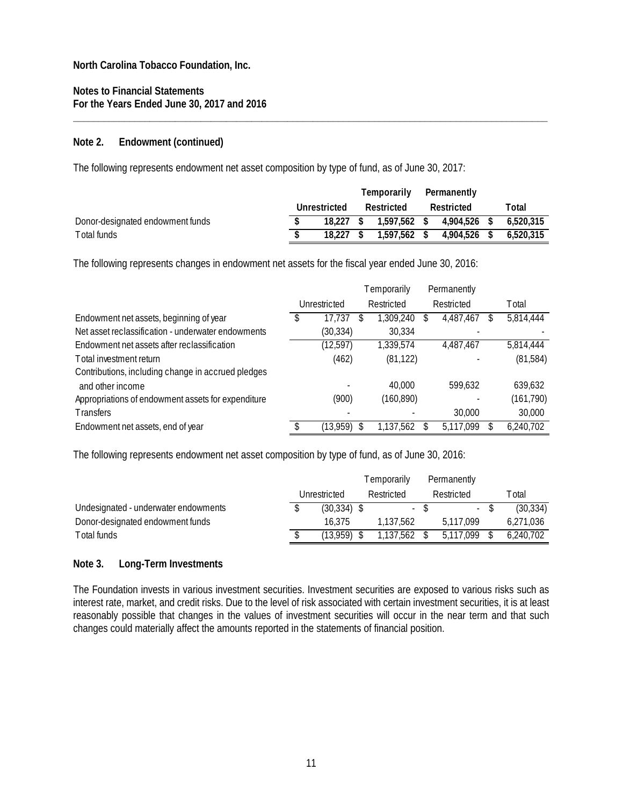**Notes to Financial Statements For the Years Ended June 30, 2017 and 2016** 

#### **Note 2. Endowment (continued)**

The following represents endowment net asset composition by type of fund, as of June 30, 2017:

|                                  |              | Temporarily    | Permanently  |           |
|----------------------------------|--------------|----------------|--------------|-----------|
|                                  | Unrestricted | Restricted     | Restricted   | Total     |
| Donor-designated endowment funds | 18.227 S     | 1.597.562 \$   | 4.904.526 \$ | 6.520.315 |
| Total funds                      | 18.227       | $1.597.562$ \$ | 4.904.526    | 6.520.315 |

**\_\_\_\_\_\_\_\_\_\_\_\_\_\_\_\_\_\_\_\_\_\_\_\_\_\_\_\_\_\_\_\_\_\_\_\_\_\_\_\_\_\_\_\_\_\_\_\_\_\_\_\_\_\_\_\_\_\_\_\_\_\_\_\_\_\_\_\_\_\_\_\_\_\_\_\_\_\_\_\_\_\_\_\_\_\_\_\_\_\_\_\_\_** 

The following represents changes in endowment net assets for the fiscal year ended June 30, 2016:

|                                                    |              | Temporarily |   | Permanently |   |            |
|----------------------------------------------------|--------------|-------------|---|-------------|---|------------|
|                                                    | Unrestricted | Restricted  |   | Restricted  |   | T otal     |
| Endowment net assets, beginning of year            | 17,737       | 1,309,240   | S | 4,487,467   | S | 5,814,444  |
| Net asset reclassification - underwater endowments | (30, 334)    | 30,334      |   |             |   |            |
| Endowment net assets after reclassification        | (12, 597)    | 1,339,574   |   | 4,487,467   |   | 5,814,444  |
| Total investment return                            | (462)        | (81, 122)   |   |             |   | (81, 584)  |
| Contributions, including change in accrued pledges |              |             |   |             |   |            |
| and other income                                   |              | 40,000      |   | 599.632     |   | 639,632    |
| Appropriations of endowment assets for expenditure | (900)        | (160, 890)  |   |             |   | (161, 790) |
| <b>Transfers</b>                                   |              |             |   | 30,000      |   | 30,000     |
| Endowment net assets, end of year                  | (13,959)     | 1.137.562   |   | 5,117,099   |   | 6,240,702  |

The following represents endowment net asset composition by type of fund, as of June 30, 2016:

|                                      |              | Temporarily | Permanently |           |
|--------------------------------------|--------------|-------------|-------------|-----------|
|                                      | Unrestricted | Restricted  | Restricted  | ™otal     |
| Undesignated - underwater endowments | (30.334)     | $\sim$      | $\sim 100$  | (30, 334) |
| Donor-designated endowment funds     | 16.375       | 1.137.562   | 5.117.099   | 6,271,036 |
| Total funds                          | (13 959)     | 1.137.562   | 5.117.099   | 6.240.702 |

#### **Note 3. Long-Term Investments**

The Foundation invests in various investment securities. Investment securities are exposed to various risks such as interest rate, market, and credit risks. Due to the level of risk associated with certain investment securities, it is at least reasonably possible that changes in the values of investment securities will occur in the near term and that such changes could materially affect the amounts reported in the statements of financial position.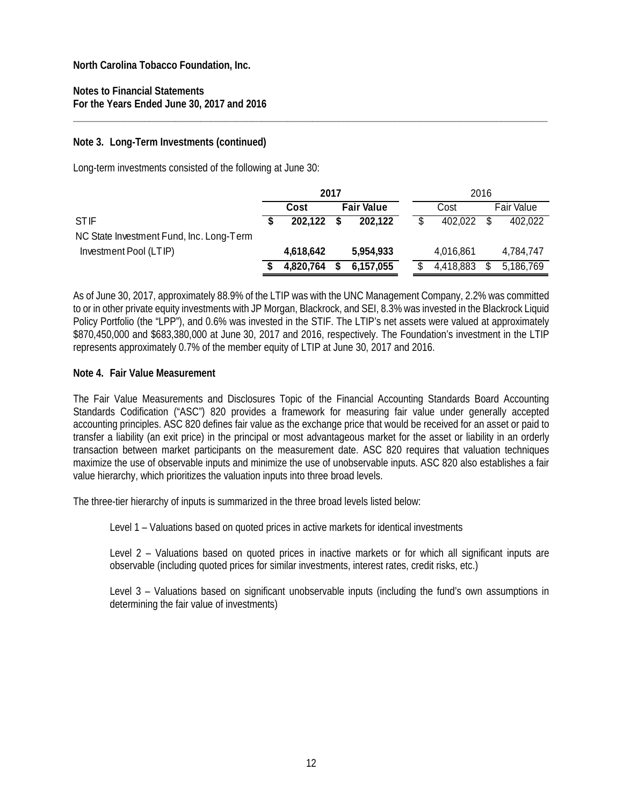**Notes to Financial Statements For the Years Ended June 30, 2017 and 2016** 

#### **Note 3. Long-Term Investments (continued)**

Long-term investments consisted of the following at June 30:

|                                          | 2017 |           |   |                   |  |  |           | 2016 |                   |
|------------------------------------------|------|-----------|---|-------------------|--|--|-----------|------|-------------------|
|                                          |      | Cost      |   | <b>Fair Value</b> |  |  | Cost      |      | <b>Fair Value</b> |
| <b>STIF</b>                              |      | 202.122   | S | 202.122           |  |  | 402.022   |      | 402.022           |
| NC State Investment Fund, Inc. Long-Term |      |           |   |                   |  |  |           |      |                   |
| Investment Pool (LTIP)                   |      | 4,618,642 |   | 5,954,933         |  |  | 4,016,861 |      | 4,784,747         |
|                                          |      | 4,820,764 |   | 6,157,055         |  |  | 4,418,883 |      | 5,186,769         |

**\_\_\_\_\_\_\_\_\_\_\_\_\_\_\_\_\_\_\_\_\_\_\_\_\_\_\_\_\_\_\_\_\_\_\_\_\_\_\_\_\_\_\_\_\_\_\_\_\_\_\_\_\_\_\_\_\_\_\_\_\_\_\_\_\_\_\_\_\_\_\_\_\_\_\_\_\_\_\_\_\_\_\_\_\_\_\_\_\_\_\_\_\_** 

As of June 30, 2017, approximately 88.9% of the LTIP was with the UNC Management Company, 2.2% was committed to or in other private equity investments with JP Morgan, Blackrock, and SEI, 8.3% was invested in the Blackrock Liquid Policy Portfolio (the "LPP"), and 0.6% was invested in the STIF. The LTIP's net assets were valued at approximately \$870,450,000 and \$683,380,000 at June 30, 2017 and 2016, respectively. The Foundation's investment in the LTIP represents approximately 0.7% of the member equity of LTIP at June 30, 2017 and 2016.

#### **Note 4. Fair Value Measurement**

The Fair Value Measurements and Disclosures Topic of the Financial Accounting Standards Board Accounting Standards Codification ("ASC") 820 provides a framework for measuring fair value under generally accepted accounting principles. ASC 820 defines fair value as the exchange price that would be received for an asset or paid to transfer a liability (an exit price) in the principal or most advantageous market for the asset or liability in an orderly transaction between market participants on the measurement date. ASC 820 requires that valuation techniques maximize the use of observable inputs and minimize the use of unobservable inputs. ASC 820 also establishes a fair value hierarchy, which prioritizes the valuation inputs into three broad levels.

The three-tier hierarchy of inputs is summarized in the three broad levels listed below:

Level 1 – Valuations based on quoted prices in active markets for identical investments

Level 2 – Valuations based on quoted prices in inactive markets or for which all significant inputs are observable (including quoted prices for similar investments, interest rates, credit risks, etc.)

Level 3 – Valuations based on significant unobservable inputs (including the fund's own assumptions in determining the fair value of investments)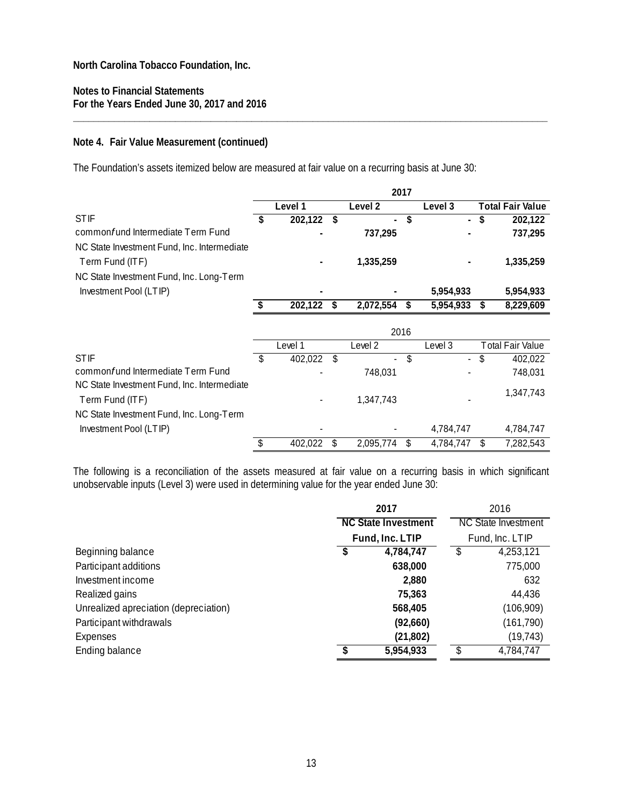#### **Notes to Financial Statements For the Years Ended June 30, 2017 and 2016**

#### **Note 4. Fair Value Measurement (continued)**

The Foundation's assets itemized below are measured at fair value on a recurring basis at June 30:

|                                             |    |         |    |                          | 2017 |                          |    |                         |
|---------------------------------------------|----|---------|----|--------------------------|------|--------------------------|----|-------------------------|
|                                             |    | Level 1 |    | Level 2                  |      | Level 3                  |    | <b>Total Fair Value</b> |
| <b>STIF</b>                                 | S  | 202,122 | S  | $\overline{\phantom{a}}$ | \$   | $\overline{\phantom{0}}$ | S  | 202,122                 |
| common fund Intermediate Term Fund          |    |         |    | 737,295                  |      |                          |    | 737,295                 |
| NC State Investment Fund, Inc. Intermediate |    |         |    |                          |      |                          |    |                         |
| Term Fund (ITF)                             |    |         |    | 1,335,259                |      |                          |    | 1,335,259               |
| NC State Investment Fund, Inc. Long-Term    |    |         |    |                          |      |                          |    |                         |
| Investment Pool (LTIP)                      |    |         |    |                          |      | 5,954,933                |    | 5,954,933               |
|                                             | \$ | 202,122 | \$ | 2,072,554                | \$   | 5,954,933                | \$ | 8,229,609               |
|                                             |    |         |    |                          |      |                          |    |                         |
|                                             |    |         |    |                          | 2016 |                          |    |                         |
|                                             |    | Level 1 |    | Level 2                  |      | Level 3                  |    | Total Fair Value        |
| <b>STIF</b>                                 | \$ | 402,022 |    | $\overline{\phantom{a}}$ | \$   |                          |    | 402,022                 |
| commonfund Intermediate Term Fund           |    |         |    | 748,031                  |      |                          |    | 748,031                 |
| NC State Investment Fund, Inc. Intermediate |    |         |    |                          |      |                          |    | 1,347,743               |
| Term Fund (ITF)                             |    |         |    | 1,347,743                |      |                          |    |                         |
| NC State Investment Fund, Inc. Long-Term    |    |         |    |                          |      |                          |    |                         |
| Investment Pool (LTIP)                      |    |         |    |                          |      | 4,784,747                |    | 4,784,747               |
|                                             | \$ | 402,022 | \$ | 2,095,774                | \$   | 4,784,747                | \$ | 7,282,543               |

**\_\_\_\_\_\_\_\_\_\_\_\_\_\_\_\_\_\_\_\_\_\_\_\_\_\_\_\_\_\_\_\_\_\_\_\_\_\_\_\_\_\_\_\_\_\_\_\_\_\_\_\_\_\_\_\_\_\_\_\_\_\_\_\_\_\_\_\_\_\_\_\_\_\_\_\_\_\_\_\_\_\_\_\_\_\_\_\_\_\_\_\_\_** 

The following is a reconciliation of the assets measured at fair value on a recurring basis in which significant unobservable inputs (Level 3) were used in determining value for the year ended June 30:

|                                       | 2017                       | 2016 |                            |  |
|---------------------------------------|----------------------------|------|----------------------------|--|
|                                       | <b>NC State Investment</b> |      | <b>NC State Investment</b> |  |
|                                       | Fund, Inc. LTIP            |      | Fund, Inc. LTIP            |  |
| Beginning balance                     | \$<br>4,784,747            | \$   | 4,253,121                  |  |
| Participant additions                 | 638,000                    |      | 775,000                    |  |
| Investment income                     | 2,880                      |      | 632                        |  |
| Realized gains                        | 75,363                     |      | 44,436                     |  |
| Unrealized apreciation (depreciation) | 568,405                    |      | (106,909)                  |  |
| Participant withdrawals               | (92,660)                   |      | (161, 790)                 |  |
| Expenses                              | (21, 802)                  |      | (19, 743)                  |  |
| Ending balance                        | \$<br>5,954,933            | \$.  | 4,784,747                  |  |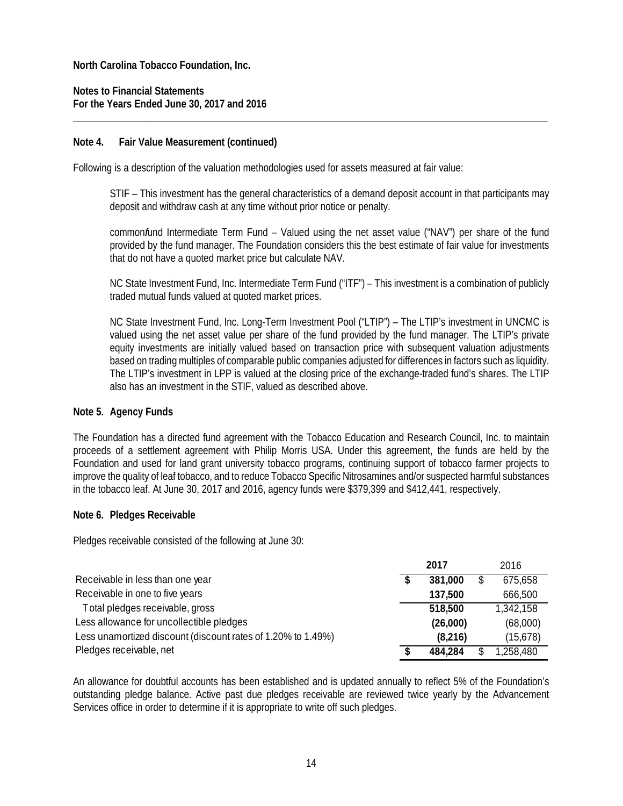**Notes to Financial Statements For the Years Ended June 30, 2017 and 2016** 

#### **Note 4. Fair Value Measurement (continued)**

Following is a description of the valuation methodologies used for assets measured at fair value:

STIF – This investment has the general characteristics of a demand deposit account in that participants may deposit and withdraw cash at any time without prior notice or penalty.

**\_\_\_\_\_\_\_\_\_\_\_\_\_\_\_\_\_\_\_\_\_\_\_\_\_\_\_\_\_\_\_\_\_\_\_\_\_\_\_\_\_\_\_\_\_\_\_\_\_\_\_\_\_\_\_\_\_\_\_\_\_\_\_\_\_\_\_\_\_\_\_\_\_\_\_\_\_\_\_\_\_\_\_\_\_\_\_\_\_\_\_\_\_** 

common*f*und Intermediate Term Fund – Valued using the net asset value ("NAV") per share of the fund provided by the fund manager. The Foundation considers this the best estimate of fair value for investments that do not have a quoted market price but calculate NAV.

NC State Investment Fund, Inc. Intermediate Term Fund ("ITF") – This investment is a combination of publicly traded mutual funds valued at quoted market prices.

NC State Investment Fund, Inc. Long-Term Investment Pool ("LTIP") – The LTIP's investment in UNCMC is valued using the net asset value per share of the fund provided by the fund manager. The LTIP's private equity investments are initially valued based on transaction price with subsequent valuation adjustments based on trading multiples of comparable public companies adjusted for differences in factors such as liquidity. The LTIP's investment in LPP is valued at the closing price of the exchange-traded fund's shares. The LTIP also has an investment in the STIF, valued as described above.

#### **Note 5. Agency Funds**

The Foundation has a directed fund agreement with the Tobacco Education and Research Council, Inc. to maintain proceeds of a settlement agreement with Philip Morris USA. Under this agreement, the funds are held by the Foundation and used for land grant university tobacco programs, continuing support of tobacco farmer projects to improve the quality of leaf tobacco, and to reduce Tobacco Specific Nitrosamines and/or suspected harmful substances in the tobacco leaf. At June 30, 2017 and 2016, agency funds were \$379,399 and \$412,441, respectively.

#### **Note 6. Pledges Receivable**

Pledges receivable consisted of the following at June 30:

|                                                              | 2017 |          | 2016 |           |
|--------------------------------------------------------------|------|----------|------|-----------|
| Receivable in less than one year                             |      | 381,000  |      | 675,658   |
| Receivable in one to five years                              |      | 137,500  |      | 666,500   |
| Total pledges receivable, gross                              |      | 518,500  |      | 1,342,158 |
| Less allowance for uncollectible pledges                     |      | (26,000) |      | (68,000)  |
| Less unamortized discount (discount rates of 1.20% to 1.49%) |      | (8,216)  |      | (15,678)  |
| Pledges receivable, net                                      |      | 484.284  |      | 1,258,480 |

An allowance for doubtful accounts has been established and is updated annually to reflect 5% of the Foundation's outstanding pledge balance. Active past due pledges receivable are reviewed twice yearly by the Advancement Services office in order to determine if it is appropriate to write off such pledges.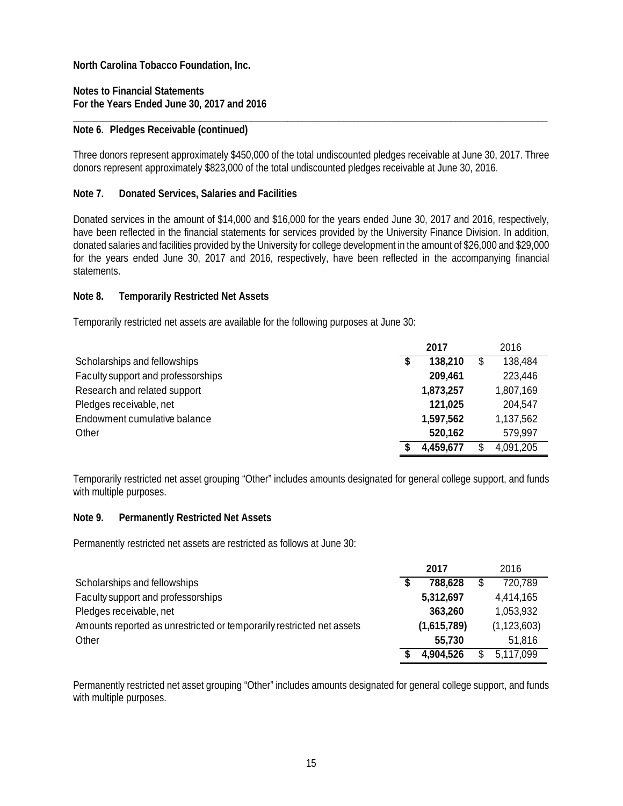**Notes to Financial Statements For the Years Ended June 30, 2017 and 2016** 

#### **Note 6. Pledges Receivable (continued)**

Three donors represent approximately \$450,000 of the total undiscounted pledges receivable at June 30, 2017. Three donors represent approximately \$823,000 of the total undiscounted pledges receivable at June 30, 2016.

**\_\_\_\_\_\_\_\_\_\_\_\_\_\_\_\_\_\_\_\_\_\_\_\_\_\_\_\_\_\_\_\_\_\_\_\_\_\_\_\_\_\_\_\_\_\_\_\_\_\_\_\_\_\_\_\_\_\_\_\_\_\_\_\_\_\_\_\_\_\_\_\_\_\_\_\_\_\_\_\_\_\_\_\_\_\_\_\_\_\_\_\_\_** 

#### **Note 7. Donated Services, Salaries and Facilities**

Donated services in the amount of \$14,000 and \$16,000 for the years ended June 30, 2017 and 2016, respectively, have been reflected in the financial statements for services provided by the University Finance Division. In addition, donated salaries and facilities provided by the University for college development in the amount of \$26,000 and \$29,000 for the years ended June 30, 2017 and 2016, respectively, have been reflected in the accompanying financial statements.

#### **Note 8. Temporarily Restricted Net Assets**

Temporarily restricted net assets are available for the following purposes at June 30:

|                                    | 2017      |    | 2016      |
|------------------------------------|-----------|----|-----------|
| Scholarships and fellowships       | 138,210   | \$ | 138,484   |
| Faculty support and professorships | 209,461   |    | 223,446   |
| Research and related support       | 1,873,257 |    | 1,807,169 |
| Pledges receivable, net            | 121,025   |    | 204,547   |
| Endowment cumulative balance       | 1,597,562 |    | 1,137,562 |
| Other                              | 520,162   |    | 579,997   |
|                                    | 4,459,677 | S. | 4,091,205 |

Temporarily restricted net asset grouping "Other" includes amounts designated for general college support, and funds with multiple purposes.

#### **Note 9. Permanently Restricted Net Assets**

Permanently restricted net assets are restricted as follows at June 30:

|                                                                       | 2017        |   | 2016          |
|-----------------------------------------------------------------------|-------------|---|---------------|
| Scholarships and fellowships                                          | 788.628     | S | 720,789       |
| Faculty support and professorships                                    | 5,312,697   |   | 4,414,165     |
| Pledges receivable, net                                               | 363,260     |   | 1,053,932     |
| Amounts reported as unrestricted or temporarily restricted net assets | (1,615,789) |   | (1, 123, 603) |
| Other                                                                 | 55.730      |   | 51,816        |
|                                                                       | 4,904,526   |   | 5,117,099     |

Permanently restricted net asset grouping "Other" includes amounts designated for general college support, and funds with multiple purposes.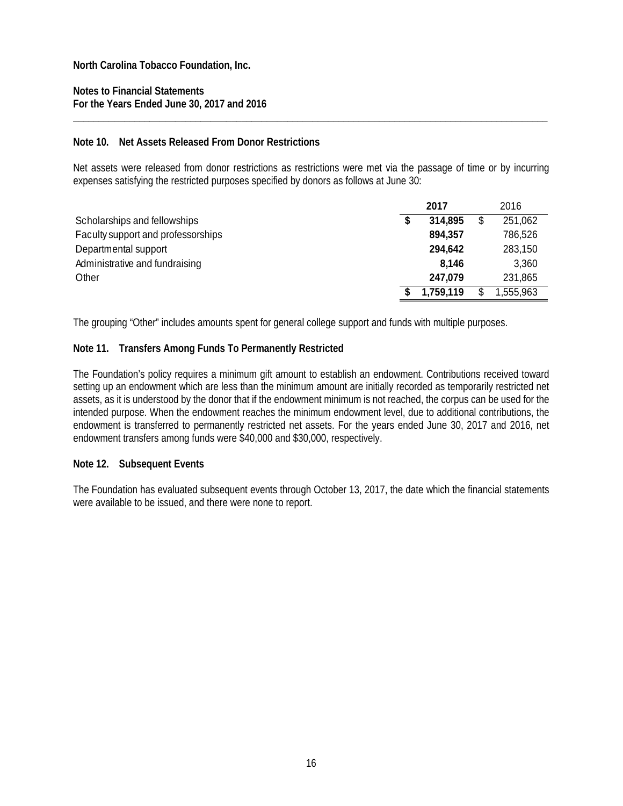**Notes to Financial Statements For the Years Ended June 30, 2017 and 2016** 

#### **Note 10. Net Assets Released From Donor Restrictions**

Net assets were released from donor restrictions as restrictions were met via the passage of time or by incurring expenses satisfying the restricted purposes specified by donors as follows at June 30:

**\_\_\_\_\_\_\_\_\_\_\_\_\_\_\_\_\_\_\_\_\_\_\_\_\_\_\_\_\_\_\_\_\_\_\_\_\_\_\_\_\_\_\_\_\_\_\_\_\_\_\_\_\_\_\_\_\_\_\_\_\_\_\_\_\_\_\_\_\_\_\_\_\_\_\_\_\_\_\_\_\_\_\_\_\_\_\_\_\_\_\_\_\_** 

|                                    | 2017 |           |    | 2016      |  |  |
|------------------------------------|------|-----------|----|-----------|--|--|
| Scholarships and fellowships       |      | 314.895   | \$ | 251,062   |  |  |
| Faculty support and professorships |      | 894,357   |    | 786,526   |  |  |
| Departmental support               |      | 294,642   |    | 283,150   |  |  |
| Administrative and fundraising     |      | 8.146     |    | 3,360     |  |  |
| Other                              |      | 247.079   |    | 231,865   |  |  |
|                                    |      | 1,759,119 |    | 1,555,963 |  |  |

The grouping "Other" includes amounts spent for general college support and funds with multiple purposes.

#### **Note 11. Transfers Among Funds To Permanently Restricted**

The Foundation's policy requires a minimum gift amount to establish an endowment. Contributions received toward setting up an endowment which are less than the minimum amount are initially recorded as temporarily restricted net assets, as it is understood by the donor that if the endowment minimum is not reached, the corpus can be used for the intended purpose. When the endowment reaches the minimum endowment level, due to additional contributions, the endowment is transferred to permanently restricted net assets. For the years ended June 30, 2017 and 2016, net endowment transfers among funds were \$40,000 and \$30,000, respectively.

#### **Note 12. Subsequent Events**

The Foundation has evaluated subsequent events through October 13, 2017, the date which the financial statements were available to be issued, and there were none to report.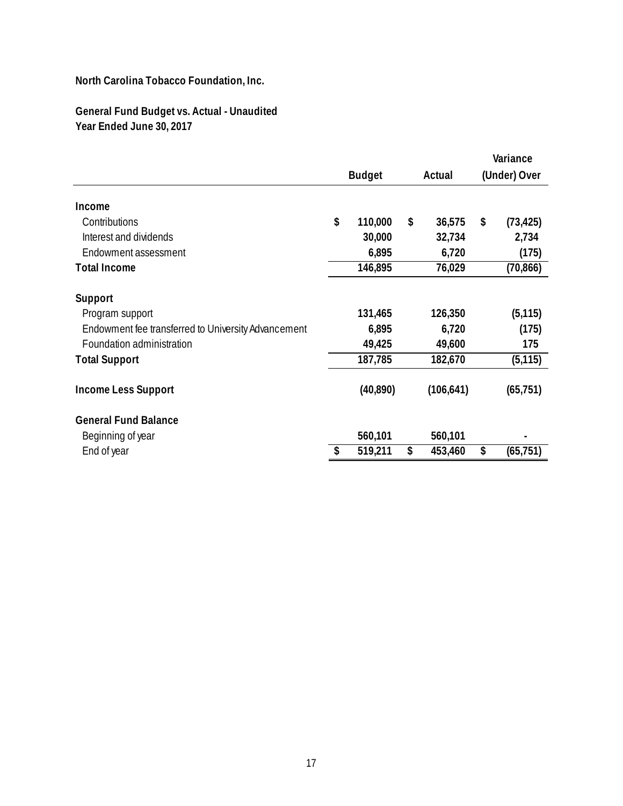**General Fund Budget vs. Actual - Unaudited Year Ended June 30, 2017**

|                                                     |               |        |            |    | Variance     |  |  |
|-----------------------------------------------------|---------------|--------|------------|----|--------------|--|--|
|                                                     | <b>Budget</b> | Actual |            |    | (Under) Over |  |  |
|                                                     |               |        |            |    |              |  |  |
| Income                                              |               |        |            |    |              |  |  |
| Contributions                                       | \$<br>110,000 | \$     | 36,575     | \$ | (73, 425)    |  |  |
| Interest and dividends                              | 30,000        |        | 32,734     |    | 2,734        |  |  |
| Endowment assessment                                | 6,895         |        | 6,720      |    | (175)        |  |  |
| <b>Total Income</b>                                 | 146,895       |        | 76,029     |    | (70, 866)    |  |  |
| Support                                             |               |        |            |    |              |  |  |
| Program support                                     | 131,465       |        | 126,350    |    | (5, 115)     |  |  |
| Endowment fee transferred to University Advancement | 6,895         |        | 6,720      |    | (175)        |  |  |
| Foundation administration                           | 49,425        |        | 49,600     |    | 175          |  |  |
| <b>Total Support</b>                                | 187,785       |        | 182,670    |    | (5, 115)     |  |  |
| <b>Income Less Support</b>                          | (40, 890)     |        | (106, 641) |    | (65, 751)    |  |  |
| <b>General Fund Balance</b>                         |               |        |            |    |              |  |  |
| Beginning of year                                   | 560,101       |        | 560,101    |    |              |  |  |
| End of year                                         | \$<br>519,211 | \$     | 453,460    | \$ | (65, 751)    |  |  |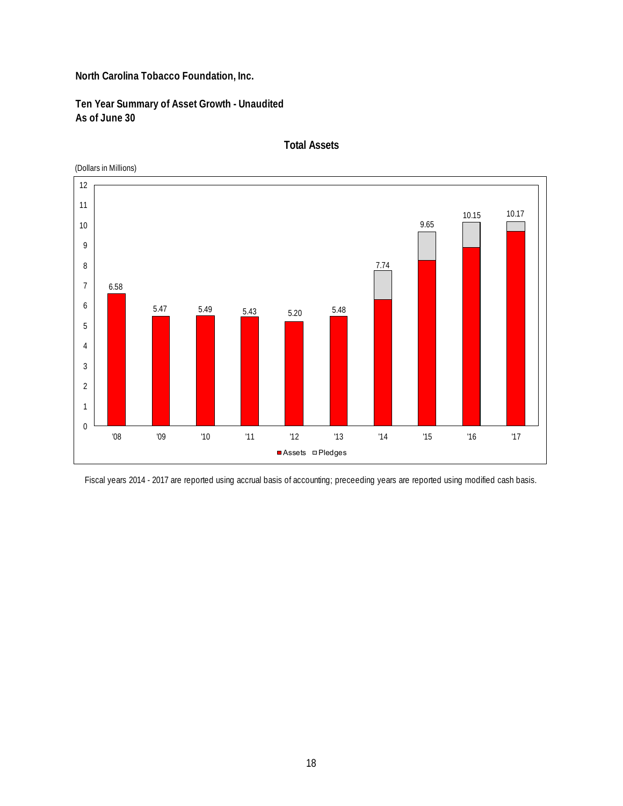**Ten Year Summary of Asset Growth - Unaudited As of June 30**



**Total Assets**

Fiscal years 2014 - 2017 are reported using accrual basis of accounting; preceeding years are reported using modified cash basis.